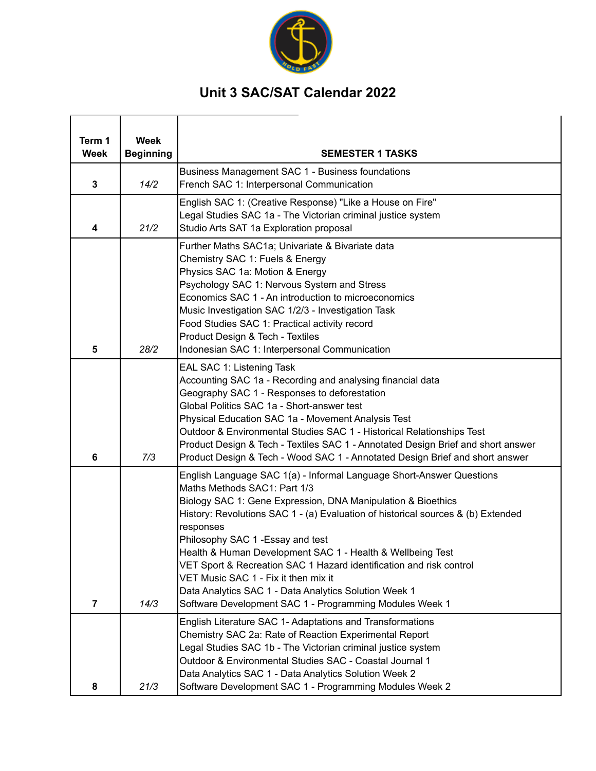

## **Unit 3 SAC/SAT Calendar 2022**

| Term 1<br>Week | <b>Week</b><br><b>Beginning</b> | <b>SEMESTER 1 TASKS</b>                                                                                                                                                                                                                                                                                                                                                                                                                                                                                                                                                                                     |
|----------------|---------------------------------|-------------------------------------------------------------------------------------------------------------------------------------------------------------------------------------------------------------------------------------------------------------------------------------------------------------------------------------------------------------------------------------------------------------------------------------------------------------------------------------------------------------------------------------------------------------------------------------------------------------|
| 3              | 14/2                            | Business Management SAC 1 - Business foundations<br>French SAC 1: Interpersonal Communication                                                                                                                                                                                                                                                                                                                                                                                                                                                                                                               |
| 4              | 21/2                            | English SAC 1: (Creative Response) "Like a House on Fire"<br>Legal Studies SAC 1a - The Victorian criminal justice system<br>Studio Arts SAT 1a Exploration proposal                                                                                                                                                                                                                                                                                                                                                                                                                                        |
| 5              | 28/2                            | Further Maths SAC1a; Univariate & Bivariate data<br>Chemistry SAC 1: Fuels & Energy<br>Physics SAC 1a: Motion & Energy<br>Psychology SAC 1: Nervous System and Stress<br>Economics SAC 1 - An introduction to microeconomics<br>Music Investigation SAC 1/2/3 - Investigation Task<br>Food Studies SAC 1: Practical activity record<br>Product Design & Tech - Textiles<br>Indonesian SAC 1: Interpersonal Communication                                                                                                                                                                                    |
| 6              | 7/3                             | EAL SAC 1: Listening Task<br>Accounting SAC 1a - Recording and analysing financial data<br>Geography SAC 1 - Responses to deforestation<br>Global Politics SAC 1a - Short-answer test<br>Physical Education SAC 1a - Movement Analysis Test<br>Outdoor & Environmental Studies SAC 1 - Historical Relationships Test<br>Product Design & Tech - Textiles SAC 1 - Annotated Design Brief and short answer<br>Product Design & Tech - Wood SAC 1 - Annotated Design Brief and short answer                                                                                                                    |
| 7              | 14/3                            | English Language SAC 1(a) - Informal Language Short-Answer Questions<br>Maths Methods SAC1: Part 1/3<br>Biology SAC 1: Gene Expression, DNA Manipulation & Bioethics<br>History: Revolutions SAC 1 - (a) Evaluation of historical sources & (b) Extended<br>responses<br>Philosophy SAC 1 - Essay and test<br>Health & Human Development SAC 1 - Health & Wellbeing Test<br>VET Sport & Recreation SAC 1 Hazard identification and risk control<br>VET Music SAC 1 - Fix it then mix it<br>Data Analytics SAC 1 - Data Analytics Solution Week 1<br>Software Development SAC 1 - Programming Modules Week 1 |
| 8              | 21/3                            | English Literature SAC 1- Adaptations and Transformations<br>Chemistry SAC 2a: Rate of Reaction Experimental Report<br>Legal Studies SAC 1b - The Victorian criminal justice system<br>Outdoor & Environmental Studies SAC - Coastal Journal 1<br>Data Analytics SAC 1 - Data Analytics Solution Week 2<br>Software Development SAC 1 - Programming Modules Week 2                                                                                                                                                                                                                                          |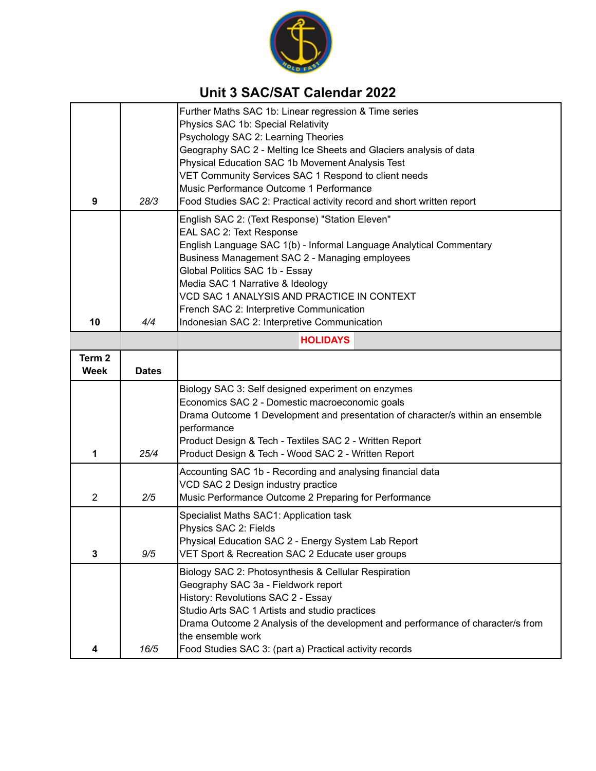

## **Unit 3 SAC/SAT Calendar 2022**

|                                      |              | Further Maths SAC 1b: Linear regression & Time series<br>Physics SAC 1b: Special Relativity<br>Psychology SAC 2: Learning Theories<br>Geography SAC 2 - Melting Ice Sheets and Glaciers analysis of data                                                                                                                                                             |  |  |  |
|--------------------------------------|--------------|----------------------------------------------------------------------------------------------------------------------------------------------------------------------------------------------------------------------------------------------------------------------------------------------------------------------------------------------------------------------|--|--|--|
| 9                                    | 28/3         | Physical Education SAC 1b Movement Analysis Test<br>VET Community Services SAC 1 Respond to client needs<br>Music Performance Outcome 1 Performance<br>Food Studies SAC 2: Practical activity record and short written report                                                                                                                                        |  |  |  |
|                                      |              | English SAC 2: (Text Response) "Station Eleven"<br>EAL SAC 2: Text Response<br>English Language SAC 1(b) - Informal Language Analytical Commentary<br>Business Management SAC 2 - Managing employees<br>Global Politics SAC 1b - Essay<br>Media SAC 1 Narrative & Ideology<br>VCD SAC 1 ANALYSIS AND PRACTICE IN CONTEXT<br>French SAC 2: Interpretive Communication |  |  |  |
| 10                                   | 4/4          | Indonesian SAC 2: Interpretive Communication                                                                                                                                                                                                                                                                                                                         |  |  |  |
| <b>HOLIDAYS</b><br>Term <sub>2</sub> |              |                                                                                                                                                                                                                                                                                                                                                                      |  |  |  |
| Week                                 | <b>Dates</b> |                                                                                                                                                                                                                                                                                                                                                                      |  |  |  |
| 1                                    | 25/4         | Biology SAC 3: Self designed experiment on enzymes<br>Economics SAC 2 - Domestic macroeconomic goals<br>Drama Outcome 1 Development and presentation of character/s within an ensemble<br>performance<br>Product Design & Tech - Textiles SAC 2 - Written Report<br>Product Design & Tech - Wood SAC 2 - Written Report                                              |  |  |  |
| $\overline{2}$                       | 2/5          | Accounting SAC 1b - Recording and analysing financial data<br>VCD SAC 2 Design industry practice<br>Music Performance Outcome 2 Preparing for Performance                                                                                                                                                                                                            |  |  |  |
| 3                                    | 9/5          | Specialist Maths SAC1: Application task<br>Physics SAC 2: Fields<br>Physical Education SAC 2 - Energy System Lab Report<br>VET Sport & Recreation SAC 2 Educate user groups                                                                                                                                                                                          |  |  |  |
| 4                                    | 16/5         | Biology SAC 2: Photosynthesis & Cellular Respiration<br>Geography SAC 3a - Fieldwork report<br>History: Revolutions SAC 2 - Essay<br>Studio Arts SAC 1 Artists and studio practices<br>Drama Outcome 2 Analysis of the development and performance of character/s from<br>the ensemble work<br>Food Studies SAC 3: (part a) Practical activity records               |  |  |  |